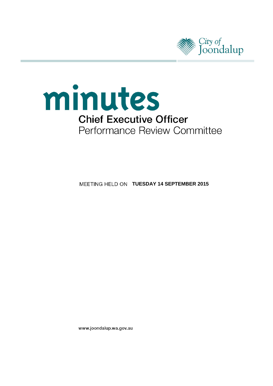



**MEETING HELD ON TUESDAY 14 SEPTEMBER 2015** 

www.joondalup.wa.gov.au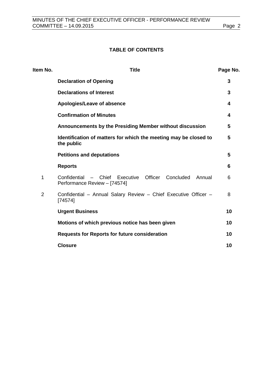# **TABLE OF CONTENTS**

| Item No.       | <b>Title</b>                                                                                     | Page No. |
|----------------|--------------------------------------------------------------------------------------------------|----------|
|                | <b>Declaration of Opening</b>                                                                    | 3        |
|                | <b>Declarations of Interest</b>                                                                  | 3        |
|                | Apologies/Leave of absence                                                                       | 4        |
|                | <b>Confirmation of Minutes</b>                                                                   | 4        |
|                | Announcements by the Presiding Member without discussion                                         | 5        |
|                | Identification of matters for which the meeting may be closed to<br>the public                   | 5        |
|                | <b>Petitions and deputations</b>                                                                 | 5        |
|                | <b>Reports</b>                                                                                   | 6        |
| 1              | - Chief Executive Officer<br>Confidential<br>Concluded<br>Annual<br>Performance Review - [74574] | 6        |
| $\overline{2}$ | Confidential - Annual Salary Review - Chief Executive Officer -<br>[74574]                       | 8        |
|                | <b>Urgent Business</b>                                                                           | 10       |
|                | Motions of which previous notice has been given                                                  | 10       |
|                | <b>Requests for Reports for future consideration</b>                                             | 10       |
|                | <b>Closure</b>                                                                                   | 10       |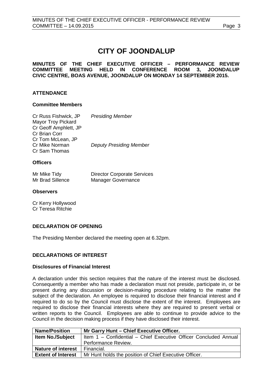# **CITY OF JOONDALUP**

**MINUTES OF THE CHIEF EXECUTIVE OFFICER – PERFORMANCE REVIEW COMMITTEE MEETING HELD IN CONFERENCE ROOM 3, JOONDALUP CIVIC CENTRE, BOAS AVENUE, JOONDALUP ON MONDAY 14 SEPTEMBER 2015.**

# **ATTENDANCE**

#### **Committee Members**

| Cr Russ Fishwick, JP      | <b>Presiding Member</b>        |
|---------------------------|--------------------------------|
| <b>Mayor Troy Pickard</b> |                                |
| Cr Geoff Amphlett, JP     |                                |
| Cr Brian Corr             |                                |
| Cr Tom McLean, JP         |                                |
| Cr Mike Norman            | <b>Deputy Presiding Member</b> |
| Cr Sam Thomas             |                                |

#### **Officers**

| Mr Mike Tidy     | <b>Director Corporate Services</b> |
|------------------|------------------------------------|
| Mr Brad Sillence | <b>Manager Governance</b>          |

#### **Observers**

Cr Kerry Hollywood Cr Teresa Ritchie

#### <span id="page-2-0"></span>**DECLARATION OF OPENING**

The Presiding Member declared the meeting open at 6.32pm.

#### <span id="page-2-1"></span>**DECLARATIONS OF INTEREST**

#### **Disclosures of Financial Interest**

A declaration under this section requires that the nature of the interest must be disclosed. Consequently a member who has made a declaration must not preside, participate in, or be present during any discussion or decision-making procedure relating to the matter the subject of the declaration. An employee is required to disclose their financial interest and if required to do so by the Council must disclose the extent of the interest. Employees are required to disclose their financial interests where they are required to present verbal or written reports to the Council. Employees are able to continue to provide advice to the Council in the decision making process if they have disclosed their interest.

| <b>Name/Position</b>      | Mr Garry Hunt - Chief Executive Officer.                         |  |
|---------------------------|------------------------------------------------------------------|--|
| <b>Item No./Subject</b>   | Item 1 - Confidential - Chief Executive Officer Concluded Annual |  |
|                           | Performance Review.                                              |  |
| <b>Nature of interest</b> | Financial.                                                       |  |
| <b>Extent of Interest</b> | Mr Hunt holds the position of Chief Executive Officer.           |  |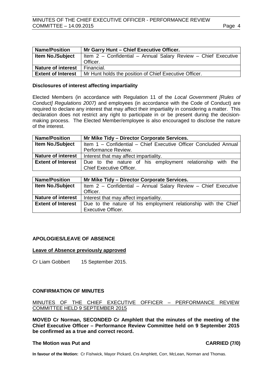| <b>Name/Position</b>      | Mr Garry Hunt - Chief Executive Officer.                       |  |
|---------------------------|----------------------------------------------------------------|--|
| <b>Item No./Subject</b>   | Item 2 - Confidential - Annual Salary Review - Chief Executive |  |
|                           | Officer.                                                       |  |
| <b>Nature of interest</b> | Financial.                                                     |  |
| <b>Extent of Interest</b> | Mr Hunt holds the position of Chief Executive Officer.         |  |

#### **Disclosures of interest affecting impartiality**

Elected Members (in accordance with Regulation 11 of the *Local Government [Rules of Conduct] Regulations 2007)* and employees (in accordance with the Code of Conduct) are required to declare any interest that may affect their impartiality in considering a matter. This declaration does not restrict any right to participate in or be present during the decisionmaking process. The Elected Member/employee is also encouraged to disclose the nature of the interest.

| <b>Name/Position</b>      | Mr Mike Tidy - Director Corporate Services.                      |  |
|---------------------------|------------------------------------------------------------------|--|
| <b>Item No./Subject</b>   | Item 1 - Confidential - Chief Executive Officer Concluded Annual |  |
|                           | Performance Review.                                              |  |
| <b>Nature of interest</b> | Interest that may affect impartiality.                           |  |
| <b>Extent of Interest</b> | Due to the nature of his employment relationship with the        |  |
|                           | <b>Chief Executive Officer.</b>                                  |  |

| <b>Name/Position</b>      | Mr Mike Tidy - Director Corporate Services.                     |  |
|---------------------------|-----------------------------------------------------------------|--|
| <b>Item No./Subject</b>   | Item 2 - Confidential - Annual Salary Review - Chief Executive  |  |
|                           | Officer.                                                        |  |
| <b>Nature of interest</b> | Interest that may affect impartiality.                          |  |
| <b>Extent of Interest</b> | Due to the nature of his employment relationship with the Chief |  |
|                           | <b>Executive Officer.</b>                                       |  |

# <span id="page-3-0"></span>**APOLOGIES/LEAVE OF ABSENCE**

#### **Leave of Absence previously approved**

Cr Liam Gobbert 15 September 2015.

#### <span id="page-3-1"></span>**CONFIRMATION OF MINUTES**

MINUTES OF THE CHIEF EXECUTIVE OFFICER – PERFORMANCE REVIEW COMMITTEE HELD 9 SEPTEMBER 2015

**MOVED Cr Norman, SECONDED Cr Amphlett that the minutes of the meeting of the Chief Executive Officer – Performance Review Committee held on 9 September 2015 be confirmed as a true and correct record.**

#### **The Motion was Put and CARRIED (7/0)**

**In favour of the Motion:** Cr Fishwick, Mayor Pickard, Crs Amphlett, Corr, McLean, Norman and Thomas.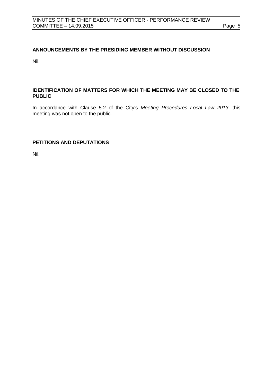# <span id="page-4-0"></span>**ANNOUNCEMENTS BY THE PRESIDING MEMBER WITHOUT DISCUSSION**

Nil.

# <span id="page-4-1"></span>**IDENTIFICATION OF MATTERS FOR WHICH THE MEETING MAY BE CLOSED TO THE PUBLIC**

In accordance with Clause 5.2 of the City's *Meeting Procedures Local Law 2013*, this meeting was not open to the public.

# <span id="page-4-2"></span>**PETITIONS AND DEPUTATIONS**

Nil.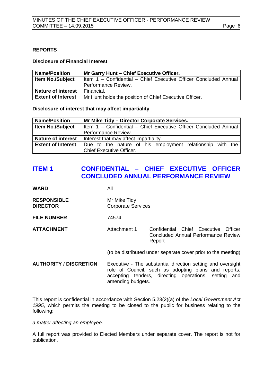# <span id="page-5-0"></span>**REPORTS**

#### **Disclosure of Financial Interest**

| <b>Name/Position</b>      | Mr Garry Hunt - Chief Executive Officer.                         |  |
|---------------------------|------------------------------------------------------------------|--|
| <b>Item No./Subject</b>   | Item 1 - Confidential - Chief Executive Officer Concluded Annual |  |
|                           | Performance Review.                                              |  |
| <b>Nature of interest</b> | Financial.                                                       |  |
| <b>Extent of Interest</b> | Mr Hunt holds the position of Chief Executive Officer.           |  |

**Disclosure of interest that may affect impartiality**

| <b>Name/Position</b>      | Mr Mike Tidy - Director Corporate Services.                      |  |
|---------------------------|------------------------------------------------------------------|--|
| <b>Item No./Subject</b>   | Item 1 - Confidential - Chief Executive Officer Concluded Annual |  |
|                           | Performance Review.                                              |  |
| <b>Nature of interest</b> | Interest that may affect impartiality.                           |  |
| <b>Extent of Interest</b> | Due to the nature of his employment relationship with the        |  |
|                           | <b>Chief Executive Officer.</b>                                  |  |

# <span id="page-5-1"></span>**ITEM 1 CONFIDENTIAL – CHIEF EXECUTIVE OFFICER CONCLUDED ANNUAL PERFORMANCE REVIEW**

| <b>WARD</b>                           | All                                                                                                                                                                                              |                                                                                       |
|---------------------------------------|--------------------------------------------------------------------------------------------------------------------------------------------------------------------------------------------------|---------------------------------------------------------------------------------------|
| <b>RESPONSIBLE</b><br><b>DIRECTOR</b> | Mr Mike Tidy<br><b>Corporate Services</b>                                                                                                                                                        |                                                                                       |
| <b>FILE NUMBER</b>                    | 74574                                                                                                                                                                                            |                                                                                       |
| <b>ATTACHMENT</b>                     | Attachment 1                                                                                                                                                                                     | Confidential Chief Executive Officer<br>Concluded Annual Performance Review<br>Report |
|                                       |                                                                                                                                                                                                  | (to be distributed under separate cover prior to the meeting)                         |
| <b>AUTHORITY / DISCRETION</b>         | Executive - The substantial direction setting and oversight<br>role of Council, such as adopting plans and reports,<br>accepting tenders, directing operations, setting and<br>amending budgets. |                                                                                       |

This report is confidential in accordance with Section 5.23(2)(a) of the *Local Government Act 1995*, which permits the meeting to be closed to the public for business relating to the following:

*a matter affecting an employee.*

A full report was provided to Elected Members under separate cover. The report is not for publication.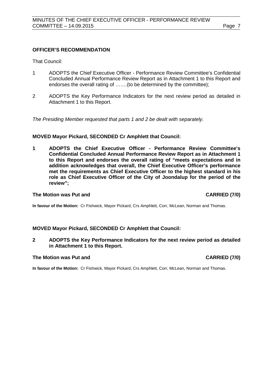### **OFFICER'S RECOMMENDATION**

That Council:

- 1 ADOPTS the Chief Executive Officer Performance Review Committee's Confidential Concluded Annual Performance Review Report as in Attachment 1 to this Report and endorses the overall rating of …….(to be determined by the committee);
- 2 ADOPTS the Key Performance Indicators for the next review period as detailed in Attachment 1 to this Report.

*The Presiding Member requested that parts 1 and 2 be dealt with separately.*

### **MOVED Mayor Pickard, SECONDED Cr Amphlett that Council:**

**1 ADOPTS the Chief Executive Officer - Performance Review Committee's Confidential Concluded Annual Performance Review Report as in Attachment 1 to this Report and endorses the overall rating of "meets expectations and in addition acknowledges that overall, the Chief Executive Officer's performance met the requirements as Chief Executive Officer to the highest standard in his role as Chief Executive Officer of the City of Joondalup for the period of the review";**

#### **The Motion was Put and CARRIED (7/0)**

**In favour of the Motion:** Cr Fishwick, Mayor Pickard, Crs Amphlett, Corr, McLean, Norman and Thomas.

#### **MOVED Mayor Pickard, SECONDED Cr Amphlett that Council:**

**2 ADOPTS the Key Performance Indicators for the next review period as detailed in Attachment 1 to this Report.**

#### **The Motion was Put and CARRIED (7/0)**

**In favour of the Motion:** Cr Fishwick, Mayor Pickard, Crs Amphlett, Corr, McLean, Norman and Thomas.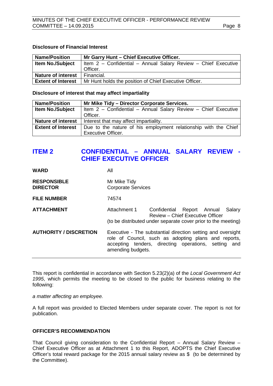### **Disclosure of Financial Interest**

| <b>Name/Position</b>      | Mr Garry Hunt - Chief Executive Officer.                       |  |
|---------------------------|----------------------------------------------------------------|--|
| <b>Item No./Subject</b>   | Item 2 - Confidential - Annual Salary Review - Chief Executive |  |
|                           | Officer.                                                       |  |
| <b>Nature of interest</b> | Financial.                                                     |  |
| <b>Extent of Interest</b> | Mr Hunt holds the position of Chief Executive Officer.         |  |

**Disclosure of interest that may affect impartiality**

| <b>Name/Position</b>      | Mr Mike Tidy - Director Corporate Services.                     |  |  |
|---------------------------|-----------------------------------------------------------------|--|--|
| <b>Item No./Subject</b>   | Item 2 - Confidential - Annual Salary Review - Chief Executive  |  |  |
|                           | Officer.                                                        |  |  |
| <b>Nature of interest</b> | Interest that may affect impartiality.                          |  |  |
| <b>Extent of Interest</b> | Due to the nature of his employment relationship with the Chief |  |  |
|                           | <b>Executive Officer.</b>                                       |  |  |

# <span id="page-7-0"></span>**ITEM 2 CONFIDENTIAL – ANNUAL SALARY REVIEW - CHIEF EXECUTIVE OFFICER**

| <b>WARD</b>                           | All                                                                                                                                                                                              |
|---------------------------------------|--------------------------------------------------------------------------------------------------------------------------------------------------------------------------------------------------|
| <b>RESPONSIBLE</b><br><b>DIRECTOR</b> | Mr Mike Tidy<br><b>Corporate Services</b>                                                                                                                                                        |
| <b>FILE NUMBER</b>                    | 74574                                                                                                                                                                                            |
| <b>ATTACHMENT</b>                     | Attachment 1<br>Salary<br>Confidential Report Annual<br>Review – Chief Executive Officer<br>(to be distributed under separate cover prior to the meeting)                                        |
| <b>AUTHORITY / DISCRETION</b>         | Executive - The substantial direction setting and oversight<br>role of Council, such as adopting plans and reports,<br>accepting tenders, directing operations, setting and<br>amending budgets. |

This report is confidential in accordance with Section 5.23(2)(a) of the *Local Government Act 1995*, which permits the meeting to be closed to the public for business relating to the following:

*a matter affecting an employee.*

A full report was provided to Elected Members under separate cover. The report is not for publication.

# **OFFICER'S RECOMMENDATION**

That Council giving consideration to the Confidential Report – Annual Salary Review – Chief Executive Officer as at Attachment 1 to this Report, ADOPTS the Chief Executive Officer's total reward package for the 2015 annual salary review as \$ (to be determined by the Committee).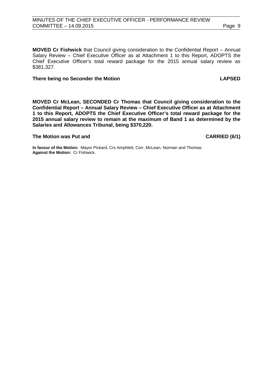**MOVED Cr Fishwick** that Council giving consideration to the Confidential Report – Annual Salary Review – Chief Executive Officer as at Attachment 1 to this Report, ADOPTS the Chief Executive Officer's total reward package for the 2015 annual salary review as \$381,327.

#### **There being no Seconder the Motion LAPSED**

**MOVED Cr McLean, SECONDED Cr Thomas that Council giving consideration to the Confidential Report – Annual Salary Review – Chief Executive Officer as at Attachment 1 to this Report, ADOPTS the Chief Executive Officer's total reward package for the 2015 annual salary review to remain at the maximum of Band 1 as determined by the Salaries and Allowances Tribunal, being \$370,220.**

#### **The Motion was Put and CARRIED (6/1)**

**In favour of the Motion:** Mayor Pickard, Crs Amphlett, Corr, McLean, Norman and Thomas. **Against the Motion:** Cr Fishwick.